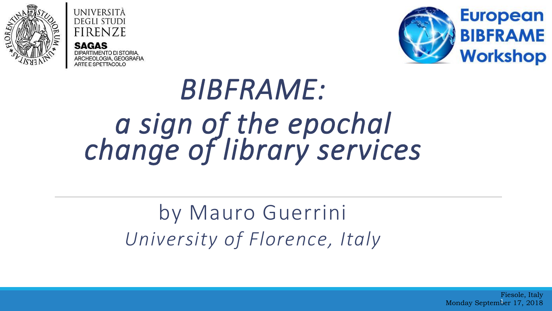

**UNIVERSITÀ DEGLI STUDI FIRENZE SAGAS** DIPARTIMENTO DI STORIA, ARCHEOLOGIA, GEOGRAFIA ARTE E SPETTACOLO



# *BIBFRAME: a sign of the epochal change of library services*

## by Mauro Guerrini *University of Florence, Italy*

Fiesole, Italy Monday September 17, 2018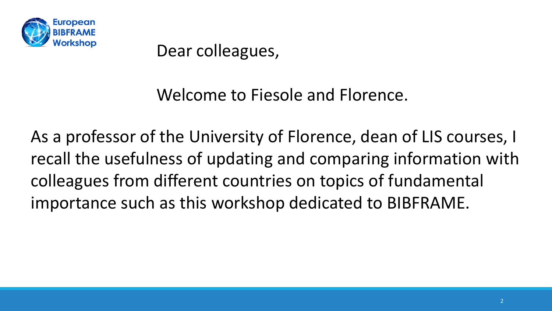

Dear colleagues,

Welcome to Fiesole and Florence.

As a professor of the University of Florence, dean of LIS courses, I recall the usefulness of updating and comparing information with colleagues from different countries on topics of fundamental importance such as this workshop dedicated to BIBFRAME.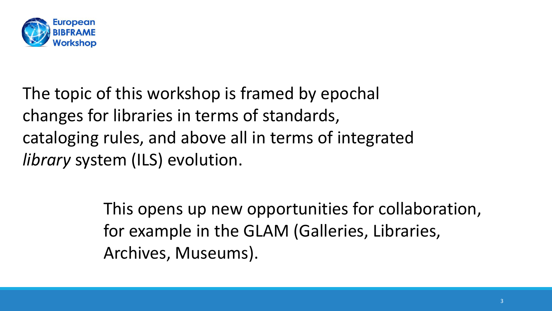

The topic of this workshop is framed by epochal changes for libraries in terms of standards, cataloging rules, and above all in terms of integrated *library* system (ILS) evolution.

> This opens up new opportunities for collaboration, for example in the GLAM (Galleries, Libraries, Archives, Museums).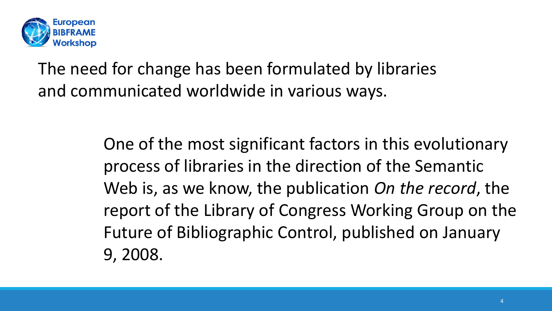

#### The need for change has been formulated by libraries and communicated worldwide in various ways.

One of the most significant factors in this evolutionary process of libraries in the direction of the Semantic Web is, as we know, the publication *On the record*, the report of the Library of Congress Working Group on the Future of Bibliographic Control, published on January 9, 2008.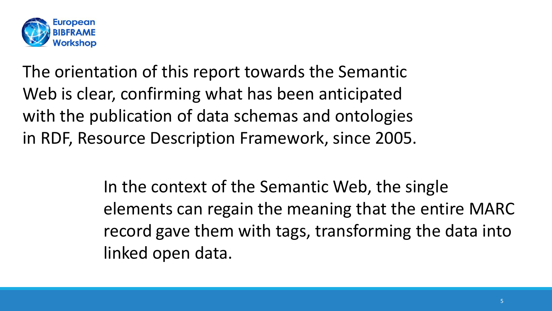

The orientation of this report towards the Semantic Web is clear, confirming what has been anticipated with the publication of data schemas and ontologies in RDF, Resource Description Framework, since 2005.

> In the context of the Semantic Web, the single elements can regain the meaning that the entire MARC record gave them with tags, transforming the data into linked open data.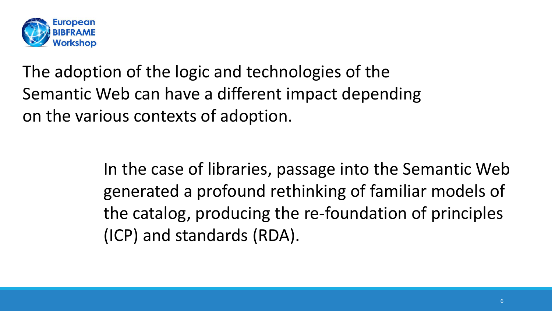

The adoption of the logic and technologies of the Semantic Web can have a different impact depending on the various contexts of adoption.

> In the case of libraries, passage into the Semantic Web generated a profound rethinking of familiar models of the catalog, producing the re-foundation of principles (ICP) and standards (RDA).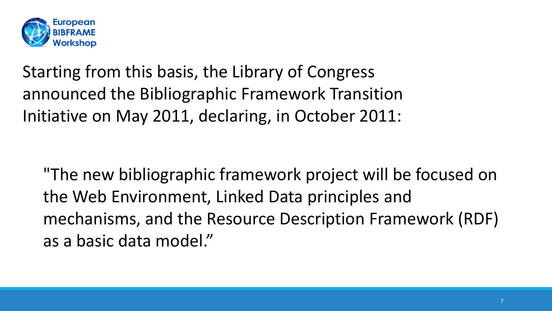

#### Starting from this basis, the Library of Congress announced the Bibliographic Framework Transition Initiative on May 2011, declaring, in October 2011:

"The new bibliographic framework project will be focused on the Web Environment, Linked Data principles and mechanisms, and the Resource Description Framework (RDF) as a basic data model."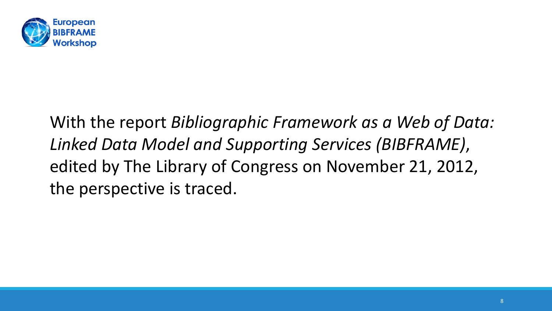

With the report *Bibliographic Framework as a Web of Data: Linked Data Model and Supporting Services (BIBFRAME)*, edited by The Library of Congress on November 21, 2012, the perspective is traced.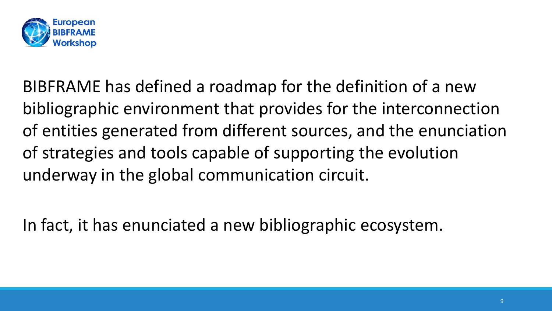

BIBFRAME has defined a roadmap for the definition of a new bibliographic environment that provides for the interconnection of entities generated from different sources, and the enunciation of strategies and tools capable of supporting the evolution underway in the global communication circuit.

In fact, it has enunciated a new bibliographic ecosystem.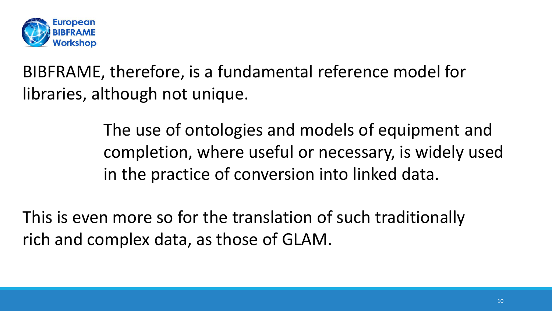

BIBFRAME, therefore, is a fundamental reference model for libraries, although not unique.

> The use of ontologies and models of equipment and completion, where useful or necessary, is widely used in the practice of conversion into linked data.

This is even more so for the translation of such traditionally rich and complex data, as those of GLAM.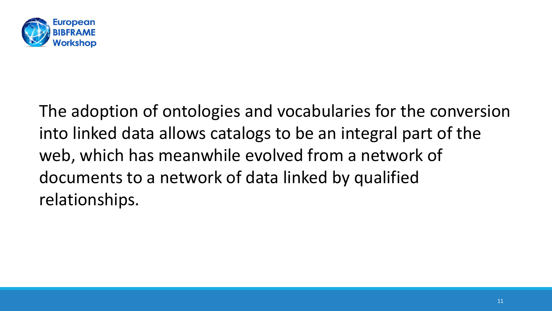

The adoption of ontologies and vocabularies for the conversion into linked data allows catalogs to be an integral part of the web, which has meanwhile evolved from a network of documents to a network of data linked by qualified relationships.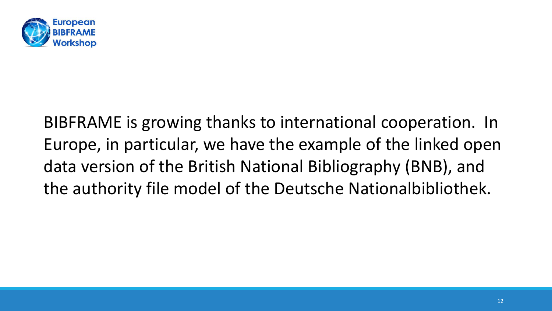

BIBFRAME is growing thanks to international cooperation. In Europe, in particular, we have the example of the linked open data version of the British National Bibliography (BNB), and the authority file model of the Deutsche Nationalbibliothek.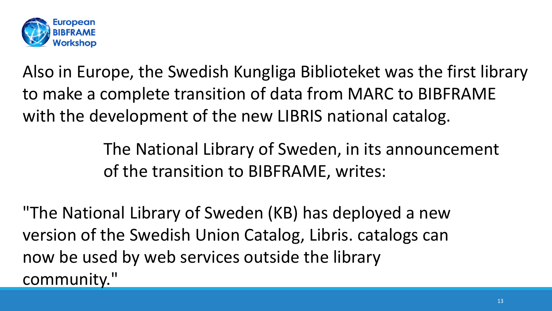

Also in Europe, the Swedish Kungliga Biblioteket was the first library to make a complete transition of data from MARC to BIBFRAME with the development of the new LIBRIS national catalog.

> The National Library of Sweden, in its announcement of the transition to BIBFRAME, writes:

"The National Library of Sweden (KB) has deployed a new version of the Swedish Union Catalog, Libris. catalogs can now be used by web services outside the library community."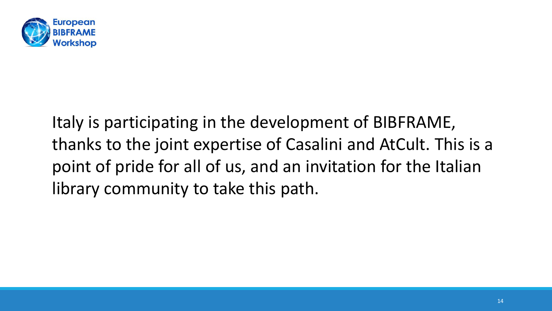

Italy is participating in the development of BIBFRAME, thanks to the joint expertise of Casalini and AtCult. This is a point of pride for all of us, and an invitation for the Italian library community to take this path.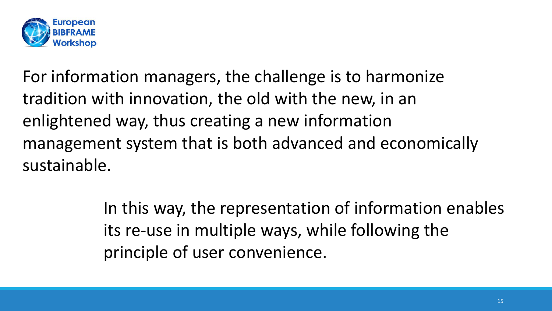

For information managers, the challenge is to harmonize tradition with innovation, the old with the new, in an enlightened way, thus creating a new information management system that is both advanced and economically sustainable.

> In this way, the representation of information enables its re-use in multiple ways, while following the principle of user convenience.